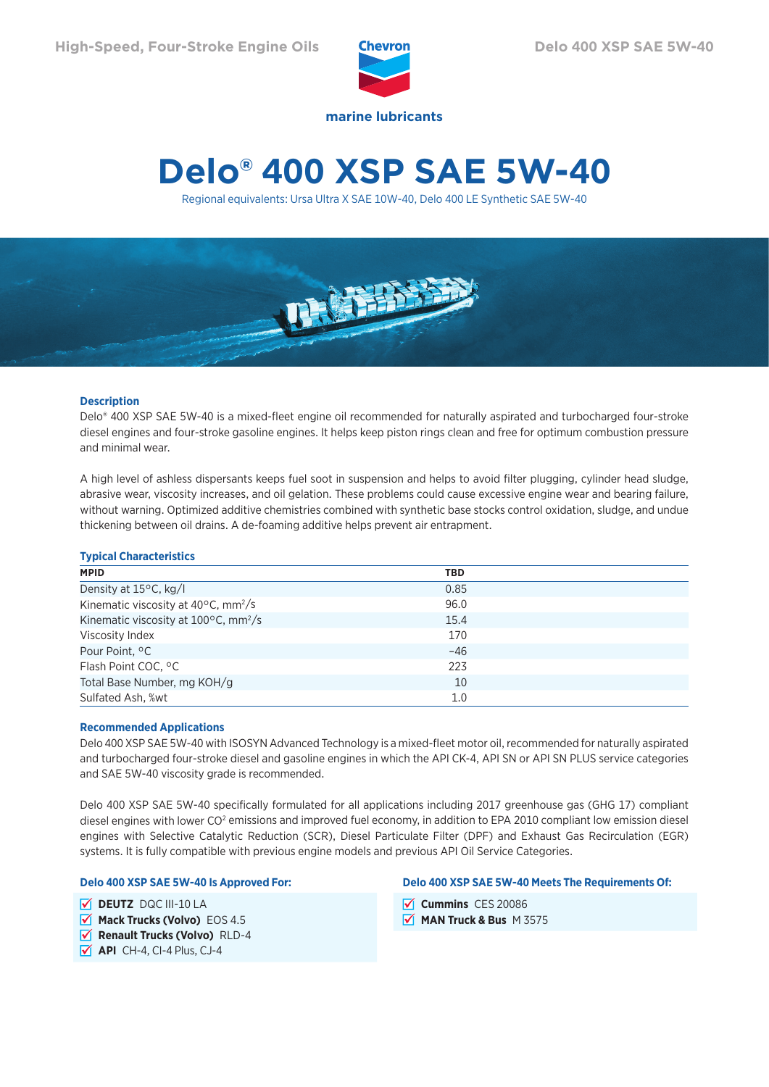

# **Delo® 400 XSP SAE 5W-40**

Regional equivalents: Ursa Ultra X SAE 10W-40, Delo 400 LE Synthetic SAE 5W-40



# **Description**

Delo® 400 XSP SAE 5W-40 is a mixed-fleet engine oil recommended for naturally aspirated and turbocharged four-stroke diesel engines and four-stroke gasoline engines. It helps keep piston rings clean and free for optimum combustion pressure and minimal wear.

A high level of ashless dispersants keeps fuel soot in suspension and helps to avoid filter plugging, cylinder head sludge, abrasive wear, viscosity increases, and oil gelation. These problems could cause excessive engine wear and bearing failure, without warning. Optimized additive chemistries combined with synthetic base stocks control oxidation, sludge, and undue thickening between oil drains. A de-foaming additive helps prevent air entrapment.

# **Typical Characteristics**

| <b>MPID</b>                                               | <b>TBD</b> |  |
|-----------------------------------------------------------|------------|--|
| Density at 15°C, kg/l                                     | 0.85       |  |
| Kinematic viscosity at $40^{\circ}$ C, mm <sup>2</sup> /s | 96.0       |  |
| Kinematic viscosity at 100°C, mm <sup>2</sup> /s          | 15.4       |  |
| Viscosity Index                                           | 170        |  |
| Pour Point, °C                                            | $-46$      |  |
| Flash Point COC, °C                                       | 223        |  |
| Total Base Number, mg KOH/g                               | 10         |  |
| Sulfated Ash, %wt                                         | 1.0        |  |

## **Recommended Applications**

Delo 400 XSP SAE 5W-40 with ISOSYN Advanced Technology is a mixed-fleet motor oil, recommended for naturally aspirated and turbocharged four-stroke diesel and gasoline engines in which the API CK-4, API SN or API SN PLUS service categories and SAE 5W-40 viscosity grade is recommended.

Delo 400 XSP SAE 5W-40 specifically formulated for all applications including 2017 greenhouse gas (GHG 17) compliant diesel engines with lower CO<sup>2</sup> emissions and improved fuel economy, in addition to EPA 2010 compliant low emission diesel engines with Selective Catalytic Reduction (SCR), Diesel Particulate Filter (DPF) and Exhaust Gas Recirculation (EGR) systems. It is fully compatible with previous engine models and previous API Oil Service Categories.

## **Delo 400 XSP SAE 5W-40 Is Approved For:**

**DEUTZ** DQC III-10 LA

- **Mack Trucks (Volvo)** EOS 4.5
- *V* Renault Trucks (Volvo) RLD-4
- **API** CH-4, CI-4 Plus, CJ-4

### **Delo 400 XSP SAE 5W-40 Meets The Requirements Of:**

- **V** Cummins CES 20086
- **MAN Truck & Bus** M 3575